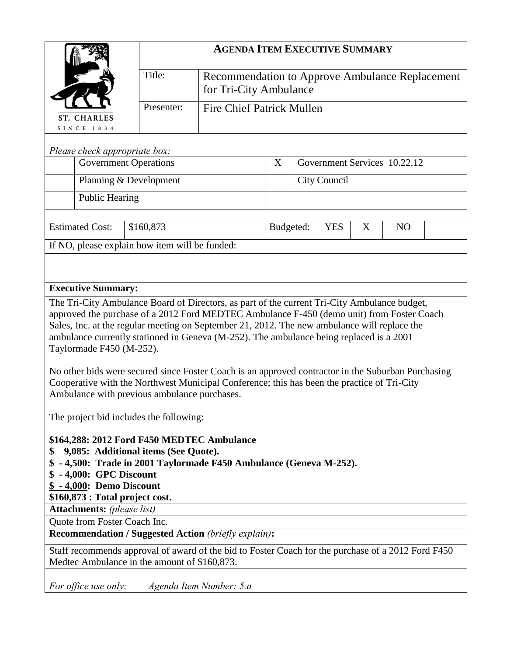|                                                                                                                                                                                                   | <b>AGENDA ITEM EXECUTIVE SUMMARY</b>           |                                                                           |   |                              |   |           |  |  |
|---------------------------------------------------------------------------------------------------------------------------------------------------------------------------------------------------|------------------------------------------------|---------------------------------------------------------------------------|---|------------------------------|---|-----------|--|--|
|                                                                                                                                                                                                   | Title:                                         | Recommendation to Approve Ambulance Replacement<br>for Tri-City Ambulance |   |                              |   |           |  |  |
| <b>ST. CHARLES</b><br>SINCE 1834                                                                                                                                                                  | Presenter:                                     | <b>Fire Chief Patrick Mullen</b>                                          |   |                              |   |           |  |  |
|                                                                                                                                                                                                   |                                                |                                                                           |   |                              |   |           |  |  |
| Please check appropriate box:<br><b>Government Operations</b>                                                                                                                                     |                                                |                                                                           | X | Government Services 10.22.12 |   |           |  |  |
| Planning & Development                                                                                                                                                                            |                                                |                                                                           |   | <b>City Council</b>          |   |           |  |  |
| <b>Public Hearing</b>                                                                                                                                                                             |                                                |                                                                           |   |                              |   |           |  |  |
| <b>Estimated Cost:</b>                                                                                                                                                                            | \$160,873                                      | Budgeted:                                                                 |   | <b>YES</b>                   | X | <b>NO</b> |  |  |
|                                                                                                                                                                                                   | If NO, please explain how item will be funded: |                                                                           |   |                              |   |           |  |  |
|                                                                                                                                                                                                   |                                                |                                                                           |   |                              |   |           |  |  |
|                                                                                                                                                                                                   |                                                |                                                                           |   |                              |   |           |  |  |
| <b>Executive Summary:</b>                                                                                                                                                                         |                                                |                                                                           |   |                              |   |           |  |  |
| The Tri-City Ambulance Board of Directors, as part of the current Tri-City Ambulance budget,<br>approved the purchase of a 2012 Ford MEDTEC Ambulance F-450 (demo unit) from Foster Coach         |                                                |                                                                           |   |                              |   |           |  |  |
| Sales, Inc. at the regular meeting on September 21, 2012. The new ambulance will replace the                                                                                                      |                                                |                                                                           |   |                              |   |           |  |  |
| ambulance currently stationed in Geneva (M-252). The ambulance being replaced is a 2001                                                                                                           |                                                |                                                                           |   |                              |   |           |  |  |
| Taylormade F450 (M-252).                                                                                                                                                                          |                                                |                                                                           |   |                              |   |           |  |  |
| No other bids were secured since Foster Coach is an approved contractor in the Suburban Purchasing<br>Cooperative with the Northwest Municipal Conference; this has been the practice of Tri-City |                                                |                                                                           |   |                              |   |           |  |  |
| Ambulance with previous ambulance purchases.                                                                                                                                                      |                                                |                                                                           |   |                              |   |           |  |  |
| The project bid includes the following:                                                                                                                                                           |                                                |                                                                           |   |                              |   |           |  |  |
| \$164,288: 2012 Ford F450 MEDTEC Ambulance                                                                                                                                                        |                                                |                                                                           |   |                              |   |           |  |  |
| 9,085: Additional items (See Quote).<br>S<br>\$ - 4,500: Trade in 2001 Taylormade F450 Ambulance (Geneva M-252).                                                                                  |                                                |                                                                           |   |                              |   |           |  |  |
| - 4,000: GPC Discount                                                                                                                                                                             |                                                |                                                                           |   |                              |   |           |  |  |
| \$ - 4,000: Demo Discount                                                                                                                                                                         |                                                |                                                                           |   |                              |   |           |  |  |
| \$160,873 : Total project cost.                                                                                                                                                                   |                                                |                                                                           |   |                              |   |           |  |  |
| <b>Attachments:</b> (please list)<br>Quote from Foster Coach Inc.                                                                                                                                 |                                                |                                                                           |   |                              |   |           |  |  |
| <b>Recommendation / Suggested Action (briefly explain):</b>                                                                                                                                       |                                                |                                                                           |   |                              |   |           |  |  |
| Staff recommends approval of award of the bid to Foster Coach for the purchase of a 2012 Ford F450                                                                                                |                                                |                                                                           |   |                              |   |           |  |  |
| Medtec Ambulance in the amount of \$160,873.                                                                                                                                                      |                                                |                                                                           |   |                              |   |           |  |  |
| For office use only:<br>Agenda Item Number: 5.a                                                                                                                                                   |                                                |                                                                           |   |                              |   |           |  |  |